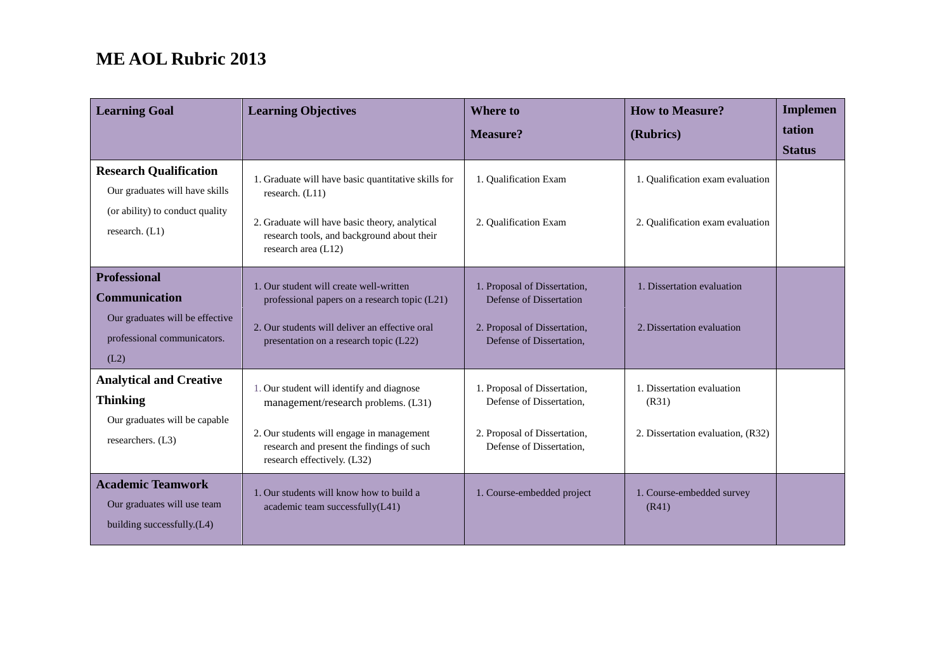| <b>Learning Goal</b>                                                                                                  | <b>Learning Objectives</b>                                                                                                                                                                                | <b>Where to</b>                                                                                                      | <b>How to Measure?</b>                                                   | <b>Implemen</b><br>tation |
|-----------------------------------------------------------------------------------------------------------------------|-----------------------------------------------------------------------------------------------------------------------------------------------------------------------------------------------------------|----------------------------------------------------------------------------------------------------------------------|--------------------------------------------------------------------------|---------------------------|
|                                                                                                                       |                                                                                                                                                                                                           | <b>Measure?</b>                                                                                                      | (Rubrics)                                                                | <b>Status</b>             |
| <b>Research Qualification</b><br>Our graduates will have skills<br>(or ability) to conduct quality<br>research. (L1)  | 1. Graduate will have basic quantitative skills for<br>research. (L11)<br>2. Graduate will have basic theory, analytical<br>research tools, and background about their<br>research area (L12)             | 1. Qualification Exam<br>2. Qualification Exam                                                                       | 1. Qualification exam evaluation<br>2. Qualification exam evaluation     |                           |
| <b>Professional</b><br><b>Communication</b><br>Our graduates will be effective<br>professional communicators.<br>(L2) | 1. Our student will create well-written<br>professional papers on a research topic (L21)<br>2. Our students will deliver an effective oral<br>presentation on a research topic (L22)                      | 1. Proposal of Dissertation,<br>Defense of Dissertation<br>2. Proposal of Dissertation,<br>Defense of Dissertation,  | 1. Dissertation evaluation<br>2. Dissertation evaluation                 |                           |
| <b>Analytical and Creative</b><br><b>Thinking</b><br>Our graduates will be capable<br>researchers. (L3)               | 1. Our student will identify and diagnose<br>management/research problems. (L31)<br>2. Our students will engage in management<br>research and present the findings of such<br>research effectively. (L32) | 1. Proposal of Dissertation,<br>Defense of Dissertation,<br>2. Proposal of Dissertation,<br>Defense of Dissertation, | 1. Dissertation evaluation<br>(R31)<br>2. Dissertation evaluation, (R32) |                           |
| <b>Academic Teamwork</b><br>Our graduates will use team<br>building successfully.(L4)                                 | 1. Our students will know how to build a<br>academic team successfully(L41)                                                                                                                               | 1. Course-embedded project                                                                                           | 1. Course-embedded survey<br>(R41)                                       |                           |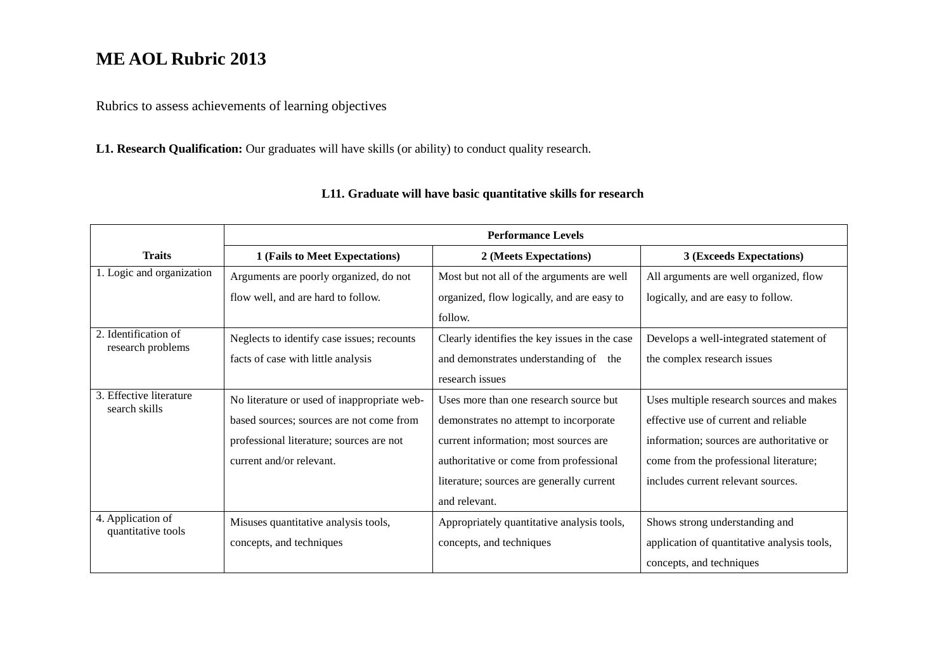Rubrics to assess achievements of learning objectives

**L1. Research Qualification:** Our graduates will have skills (or ability) to conduct quality research.

|                                          | <b>Performance Levels</b>                   |                                               |                                             |  |
|------------------------------------------|---------------------------------------------|-----------------------------------------------|---------------------------------------------|--|
| <b>Traits</b>                            | 1 (Fails to Meet Expectations)              | 2 (Meets Expectations)                        | 3 (Exceeds Expectations)                    |  |
| 1. Logic and organization                | Arguments are poorly organized, do not      | Most but not all of the arguments are well    | All arguments are well organized, flow      |  |
|                                          | flow well, and are hard to follow.          | organized, flow logically, and are easy to    | logically, and are easy to follow.          |  |
|                                          |                                             | follow.                                       |                                             |  |
| 2. Identification of                     | Neglects to identify case issues; recounts  | Clearly identifies the key issues in the case | Develops a well-integrated statement of     |  |
| research problems                        | facts of case with little analysis          | and demonstrates understanding of the         | the complex research issues                 |  |
|                                          |                                             | research issues                               |                                             |  |
| 3. Effective literature<br>search skills | No literature or used of inappropriate web- | Uses more than one research source but        | Uses multiple research sources and makes    |  |
|                                          | based sources; sources are not come from    | demonstrates no attempt to incorporate        | effective use of current and reliable       |  |
|                                          | professional literature; sources are not    | current information; most sources are         | information; sources are authoritative or   |  |
|                                          | current and/or relevant.                    | authoritative or come from professional       | come from the professional literature;      |  |
|                                          |                                             | literature; sources are generally current     | includes current relevant sources.          |  |
|                                          |                                             | and relevant.                                 |                                             |  |
| 4. Application of                        | Misuses quantitative analysis tools,        | Appropriately quantitative analysis tools,    | Shows strong understanding and              |  |
| quantitative tools                       | concepts, and techniques                    | concepts, and techniques                      | application of quantitative analysis tools, |  |
|                                          |                                             |                                               | concepts, and techniques                    |  |

### **L11. Graduate will have basic quantitative skills for research**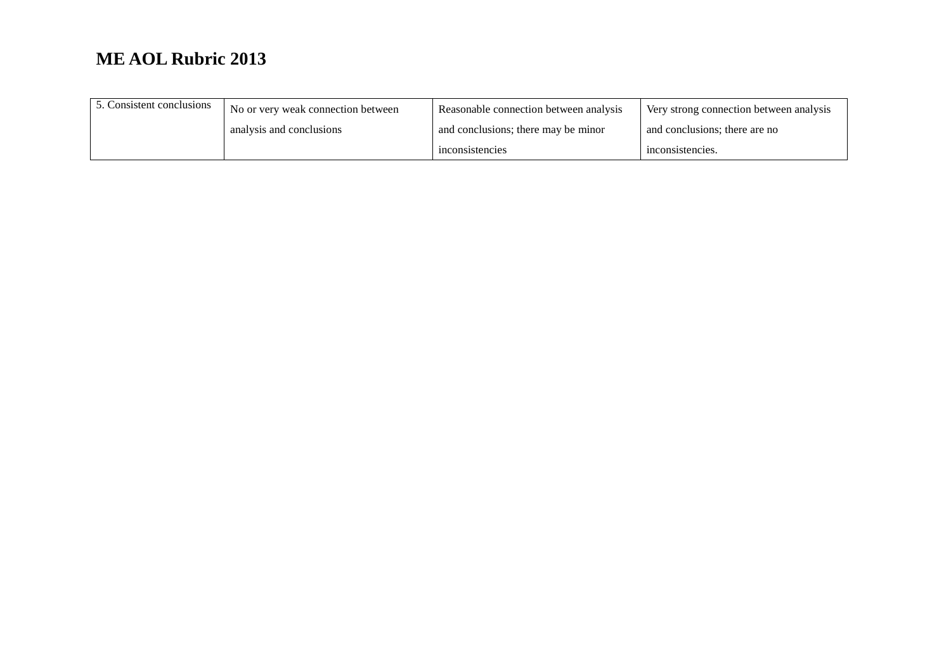| 5. Consistent conclusions | No or very weak connection between | Reasonable connection between analysis | Very strong connection between analysis |
|---------------------------|------------------------------------|----------------------------------------|-----------------------------------------|
|                           | analysis and conclusions           | and conclusions; there may be minor    | and conclusions; there are no           |
|                           |                                    | inconsistencies                        | inconsistencies.                        |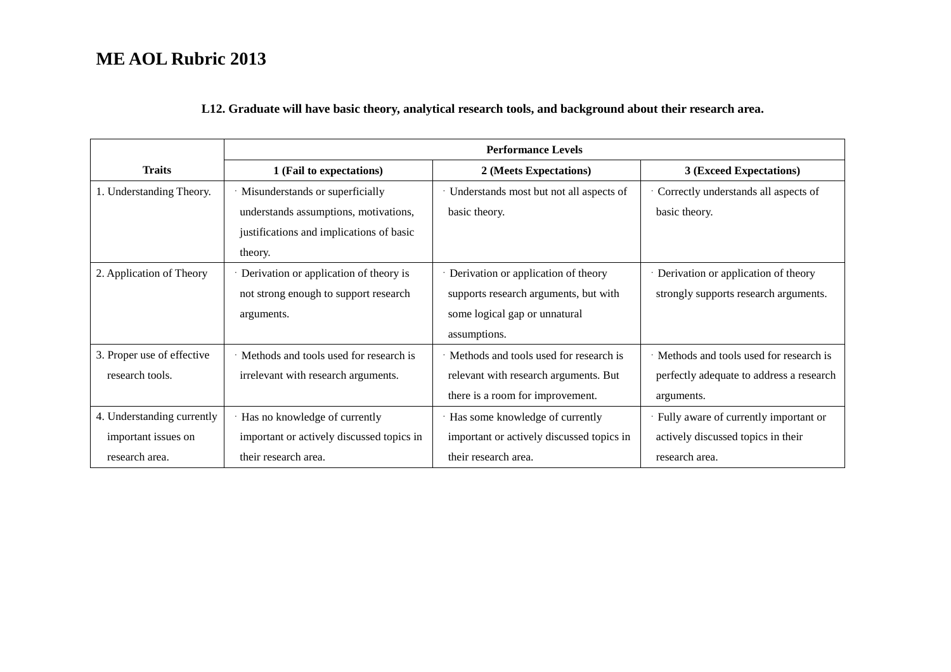#### **L12. Graduate will have basic theory, analytical research tools, and background about their research area.**

|                            | <b>Performance Levels</b>                 |                                           |                                          |  |
|----------------------------|-------------------------------------------|-------------------------------------------|------------------------------------------|--|
| <b>Traits</b>              | 1 (Fail to expectations)                  | 2 (Meets Expectations)                    | 3 (Exceed Expectations)                  |  |
| 1. Understanding Theory.   | · Misunderstands or superficially         | · Understands most but not all aspects of | Correctly understands all aspects of     |  |
|                            | understands assumptions, motivations,     | basic theory.                             | basic theory.                            |  |
|                            | justifications and implications of basic  |                                           |                                          |  |
|                            | theory.                                   |                                           |                                          |  |
| 2. Application of Theory   | Derivation or application of theory is    | · Derivation or application of theory     | Derivation or application of theory      |  |
|                            | not strong enough to support research     | supports research arguments, but with     | strongly supports research arguments.    |  |
|                            | arguments.                                | some logical gap or unnatural             |                                          |  |
|                            |                                           | assumptions.                              |                                          |  |
| 3. Proper use of effective | Methods and tools used for research is    | Methods and tools used for research is    | Methods and tools used for research is   |  |
| research tools.            | irrelevant with research arguments.       | relevant with research arguments. But     | perfectly adequate to address a research |  |
|                            |                                           | there is a room for improvement.          | arguments.                               |  |
| 4. Understanding currently | Has no knowledge of currently             | · Has some knowledge of currently         | · Fully aware of currently important or  |  |
| important issues on        | important or actively discussed topics in | important or actively discussed topics in | actively discussed topics in their       |  |
| research area.             | their research area.                      | their research area.                      | research area.                           |  |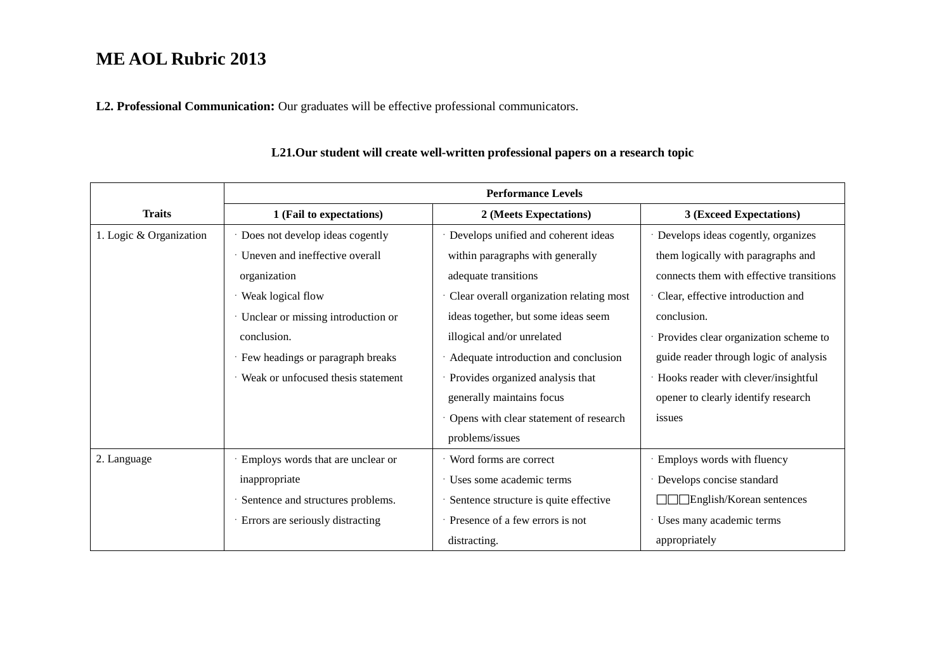**L2. Professional Communication:** Our graduates will be effective professional communicators.

|                         | <b>Performance Levels</b>          |                                          |                                          |  |
|-------------------------|------------------------------------|------------------------------------------|------------------------------------------|--|
| <b>Traits</b>           | 1 (Fail to expectations)           | 2 (Meets Expectations)                   | 3 (Exceed Expectations)                  |  |
| 1. Logic & Organization | Does not develop ideas cogently    | · Develops unified and coherent ideas    | · Develops ideas cogently, organizes     |  |
|                         | Uneven and ineffective overall     | within paragraphs with generally         | them logically with paragraphs and       |  |
|                         | organization                       | adequate transitions                     | connects them with effective transitions |  |
|                         | Weak logical flow                  | Clear overall organization relating most | Clear, effective introduction and        |  |
|                         | Unclear or missing introduction or | ideas together, but some ideas seem      | conclusion.                              |  |
|                         | conclusion.                        | illogical and/or unrelated               | Provides clear organization scheme to    |  |
|                         | Few headings or paragraph breaks   | Adequate introduction and conclusion     | guide reader through logic of analysis   |  |
|                         | Weak or unfocused thesis statement | Provides organized analysis that         | Hooks reader with clever/insightful      |  |
|                         |                                    | generally maintains focus                | opener to clearly identify research      |  |
|                         |                                    | Opens with clear statement of research   | issues                                   |  |
|                         |                                    | problems/issues                          |                                          |  |
| 2. Language             | Employs words that are unclear or  | · Word forms are correct                 | · Employs words with fluency             |  |
|                         | inappropriate                      | · Uses some academic terms               | Develops concise standard                |  |
|                         | Sentence and structures problems.  | Sentence structure is quite effective    | English/Korean sentences                 |  |
|                         | Errors are seriously distracting   | · Presence of a few errors is not        | Uses many academic terms                 |  |
|                         |                                    | distracting.                             | appropriately                            |  |

### **L21.Our student will create well-written professional papers on a research topic**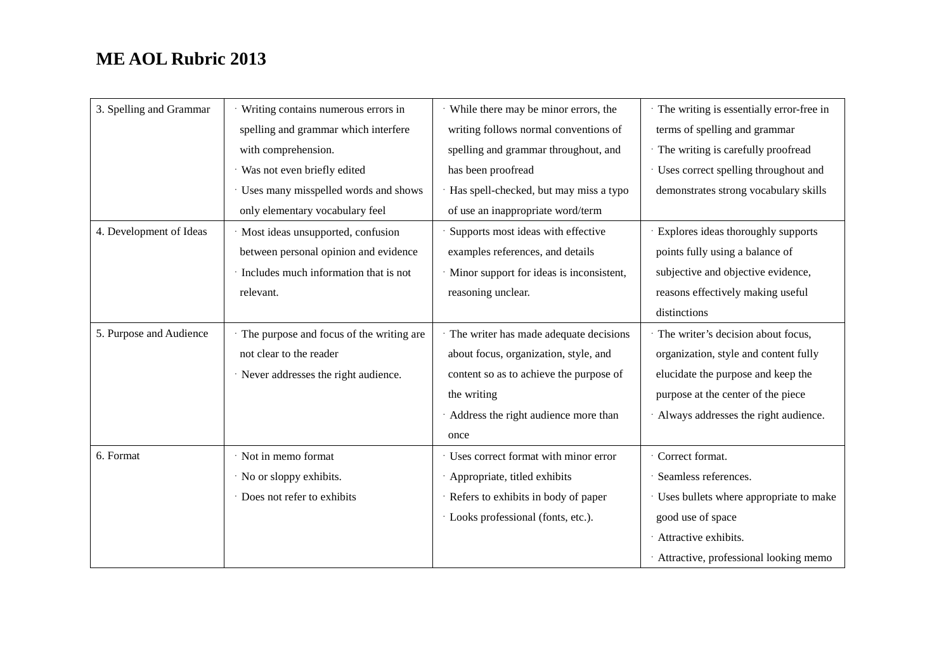| 3. Spelling and Grammar | Writing contains numerous errors in      | · While there may be minor errors, the     | The writing is essentially error-free in |
|-------------------------|------------------------------------------|--------------------------------------------|------------------------------------------|
|                         | spelling and grammar which interfere     | writing follows normal conventions of      | terms of spelling and grammar            |
|                         | with comprehension.                      | spelling and grammar throughout, and       | · The writing is carefully proofread     |
|                         | Was not even briefly edited              | has been proofread                         | · Uses correct spelling throughout and   |
|                         | · Uses many misspelled words and shows   | Has spell-checked, but may miss a typo     | demonstrates strong vocabulary skills    |
|                         | only elementary vocabulary feel          | of use an inappropriate word/term          |                                          |
| 4. Development of Ideas | Most ideas unsupported, confusion        | Supports most ideas with effective         | · Explores ideas thoroughly supports     |
|                         | between personal opinion and evidence    | examples references, and details           | points fully using a balance of          |
|                         | · Includes much information that is not  | · Minor support for ideas is inconsistent, | subjective and objective evidence,       |
|                         | relevant.                                | reasoning unclear.                         | reasons effectively making useful        |
|                         |                                          |                                            | distinctions                             |
| 5. Purpose and Audience | The purpose and focus of the writing are | · The writer has made adequate decisions   | The writer's decision about focus,       |
|                         | not clear to the reader                  | about focus, organization, style, and      | organization, style and content fully    |
|                         | · Never addresses the right audience.    | content so as to achieve the purpose of    | elucidate the purpose and keep the       |
|                         |                                          | the writing                                | purpose at the center of the piece       |
|                         |                                          | · Address the right audience more than     | · Always addresses the right audience.   |
|                         |                                          | once                                       |                                          |
| 6. Format               | Not in memo format                       | · Uses correct format with minor error     | Correct format.                          |
|                         | No or sloppy exhibits.                   | Appropriate, titled exhibits               | Seamless references.                     |
|                         | Does not refer to exhibits               | · Refers to exhibits in body of paper      | Uses bullets where appropriate to make   |
|                         |                                          | · Looks professional (fonts, etc.).        | good use of space                        |
|                         |                                          |                                            | Attractive exhibits.                     |
|                         |                                          |                                            | · Attractive, professional looking memo  |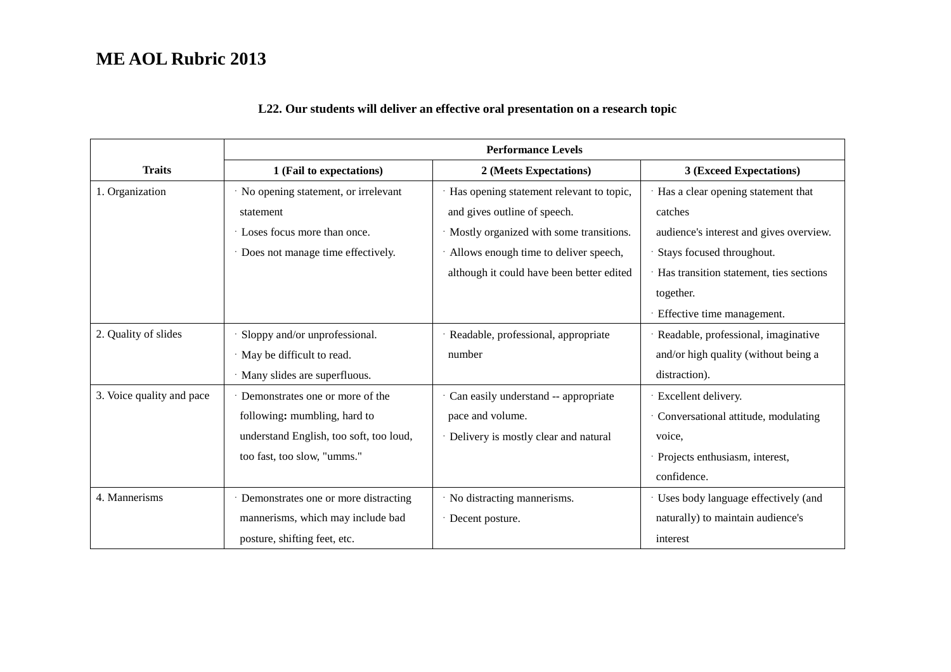|  |  |  |  |  | L22. Our students will deliver an effective oral presentation on a research topic |
|--|--|--|--|--|-----------------------------------------------------------------------------------|
|--|--|--|--|--|-----------------------------------------------------------------------------------|

|                           | <b>Performance Levels</b>               |                                           |                                         |  |
|---------------------------|-----------------------------------------|-------------------------------------------|-----------------------------------------|--|
| <b>Traits</b>             | 1 (Fail to expectations)                | 2 (Meets Expectations)                    | 3 (Exceed Expectations)                 |  |
| 1. Organization           | No opening statement, or irrelevant     | Has opening statement relevant to topic,  | Has a clear opening statement that      |  |
|                           | statement                               | and gives outline of speech.              | catches                                 |  |
|                           | Loses focus more than once.             | · Mostly organized with some transitions. | audience's interest and gives overview. |  |
|                           | · Does not manage time effectively.     | · Allows enough time to deliver speech,   | Stays focused throughout.               |  |
|                           |                                         | although it could have been better edited | Has transition statement, ties sections |  |
|                           |                                         |                                           | together.                               |  |
|                           |                                         |                                           | Effective time management.              |  |
| 2. Quality of slides      | Sloppy and/or unprofessional.           | Readable, professional, appropriate       | Readable, professional, imaginative     |  |
|                           | · May be difficult to read.             | number                                    | and/or high quality (without being a    |  |
|                           | Many slides are superfluous.            |                                           | distraction).                           |  |
| 3. Voice quality and pace | Demonstrates one or more of the         | Can easily understand -- appropriate      | Excellent delivery.                     |  |
|                           | following: mumbling, hard to            | pace and volume.                          | Conversational attitude, modulating     |  |
|                           | understand English, too soft, too loud, | · Delivery is mostly clear and natural    | voice,                                  |  |
|                           | too fast, too slow, "umms."             |                                           | Projects enthusiasm, interest,          |  |
|                           |                                         |                                           | confidence.                             |  |
| 4. Mannerisms             | · Demonstrates one or more distracting  | · No distracting mannerisms.              | · Uses body language effectively (and   |  |
|                           | mannerisms, which may include bad       | · Decent posture.                         | naturally) to maintain audience's       |  |
|                           | posture, shifting feet, etc.            |                                           | interest                                |  |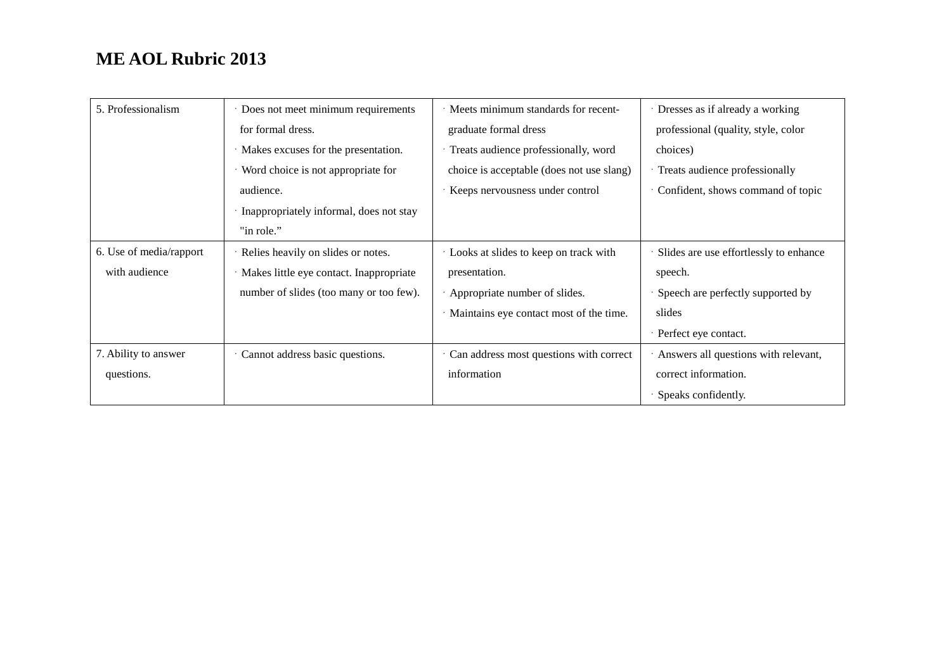| 5. Professionalism      | · Does not meet minimum requirements    | Meets minimum standards for recent-       | Dresses as if already a working        |
|-------------------------|-----------------------------------------|-------------------------------------------|----------------------------------------|
|                         | for formal dress.                       | graduate formal dress                     | professional (quality, style, color    |
|                         | Makes excuses for the presentation.     | Treats audience professionally, word      | choices)                               |
|                         | Word choice is not appropriate for      | choice is acceptable (does not use slang) | Treats audience professionally         |
|                         | audience.                               | Keeps nervousness under control           | Confident, shows command of topic      |
|                         | Inappropriately informal, does not stay |                                           |                                        |
|                         | "in role."                              |                                           |                                        |
| 6. Use of media/rapport | Relies heavily on slides or notes.      | Looks at slides to keep on track with     | Slides are use effortlessly to enhance |
| with audience           | Makes little eye contact. Inappropriate | presentation.                             | speech.                                |
|                         | number of slides (too many or too few). | Appropriate number of slides.             | Speech are perfectly supported by      |
|                         |                                         | Maintains eye contact most of the time.   | slides                                 |
|                         |                                         |                                           | Perfect eye contact.                   |
| 7. Ability to answer    | Cannot address basic questions.         | Can address most questions with correct   | Answers all questions with relevant,   |
| questions.              |                                         | information                               | correct information.                   |
|                         |                                         |                                           | Speaks confidently.                    |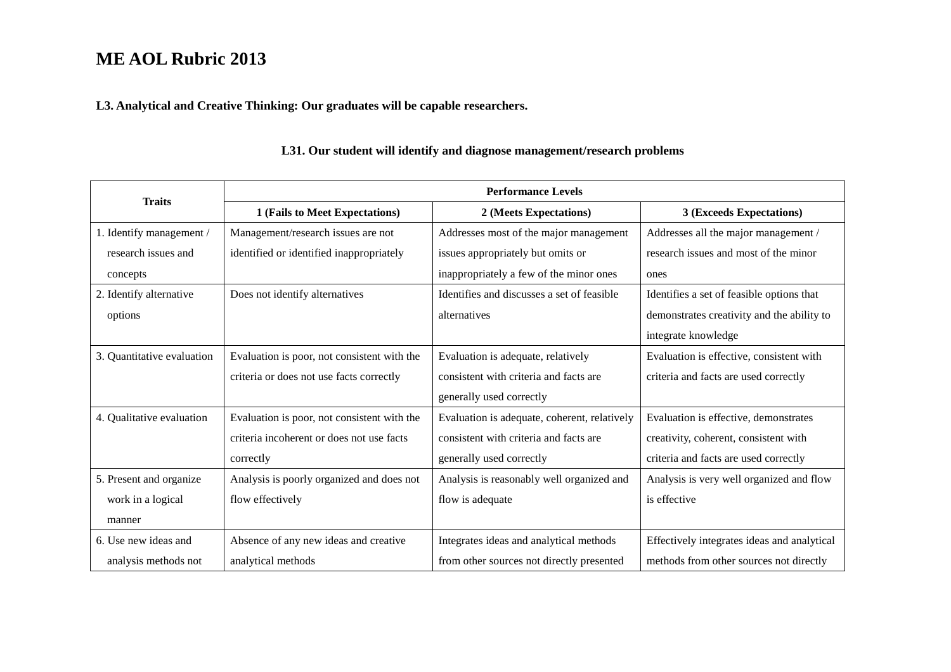**L3. Analytical and Creative Thinking: Our graduates will be capable researchers.** 

|                            | <b>Performance Levels</b>                   |                                              |                                             |  |
|----------------------------|---------------------------------------------|----------------------------------------------|---------------------------------------------|--|
| <b>Traits</b>              | 1 (Fails to Meet Expectations)              | 2 (Meets Expectations)                       | 3 (Exceeds Expectations)                    |  |
| 1. Identify management /   | Management/research issues are not          | Addresses most of the major management       | Addresses all the major management /        |  |
| research issues and        | identified or identified inappropriately    | issues appropriately but omits or            | research issues and most of the minor       |  |
| concepts                   |                                             | inappropriately a few of the minor ones      | ones                                        |  |
| 2. Identify alternative    | Does not identify alternatives              | Identifies and discusses a set of feasible   | Identifies a set of feasible options that   |  |
| options                    |                                             | alternatives                                 | demonstrates creativity and the ability to  |  |
|                            |                                             |                                              | integrate knowledge                         |  |
| 3. Quantitative evaluation | Evaluation is poor, not consistent with the | Evaluation is adequate, relatively           | Evaluation is effective, consistent with    |  |
|                            | criteria or does not use facts correctly    | consistent with criteria and facts are       | criteria and facts are used correctly       |  |
|                            |                                             | generally used correctly                     |                                             |  |
| 4. Qualitative evaluation  | Evaluation is poor, not consistent with the | Evaluation is adequate, coherent, relatively | Evaluation is effective, demonstrates       |  |
|                            | criteria incoherent or does not use facts   | consistent with criteria and facts are       | creativity, coherent, consistent with       |  |
|                            | correctly                                   | generally used correctly                     | criteria and facts are used correctly       |  |
| 5. Present and organize    | Analysis is poorly organized and does not   | Analysis is reasonably well organized and    | Analysis is very well organized and flow    |  |
| work in a logical          | flow effectively                            | flow is adequate                             | is effective                                |  |
| manner                     |                                             |                                              |                                             |  |
| 6. Use new ideas and       | Absence of any new ideas and creative       | Integrates ideas and analytical methods      | Effectively integrates ideas and analytical |  |
| analysis methods not       | analytical methods                          | from other sources not directly presented    | methods from other sources not directly     |  |

### **L31. Our student will identify and diagnose management/research problems**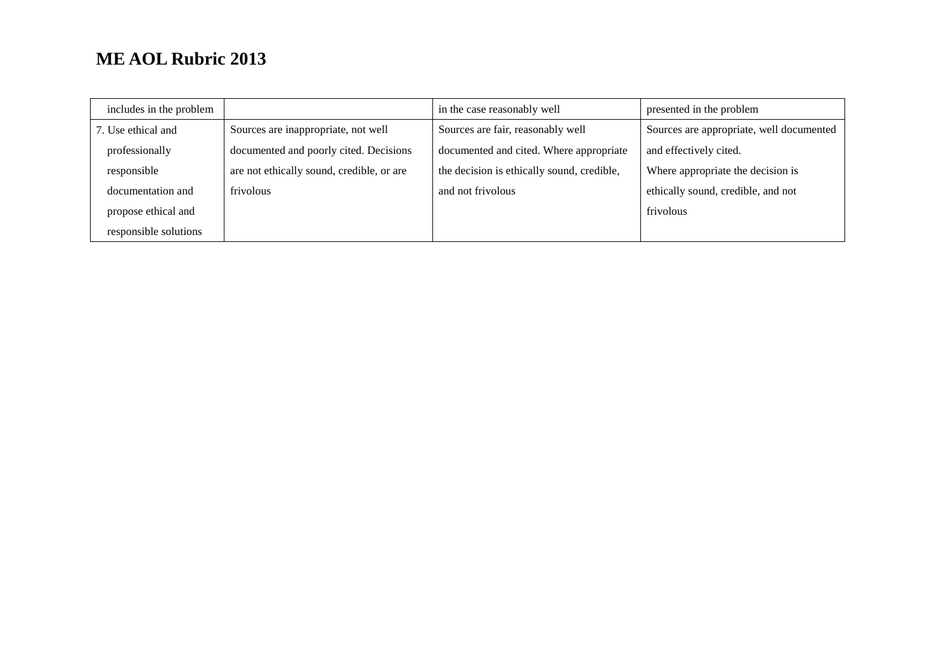| includes in the problem |                                           | in the case reasonably well                | presented in the problem                 |
|-------------------------|-------------------------------------------|--------------------------------------------|------------------------------------------|
| 7. Use ethical and      | Sources are inappropriate, not well       | Sources are fair, reasonably well          | Sources are appropriate, well documented |
| professionally          | documented and poorly cited. Decisions    | documented and cited. Where appropriate    | and effectively cited.                   |
| responsible             | are not ethically sound, credible, or are | the decision is ethically sound, credible, | Where appropriate the decision is        |
| documentation and       | frivolous                                 | and not frivolous                          | ethically sound, credible, and not       |
| propose ethical and     |                                           |                                            | frivolous                                |
| responsible solutions   |                                           |                                            |                                          |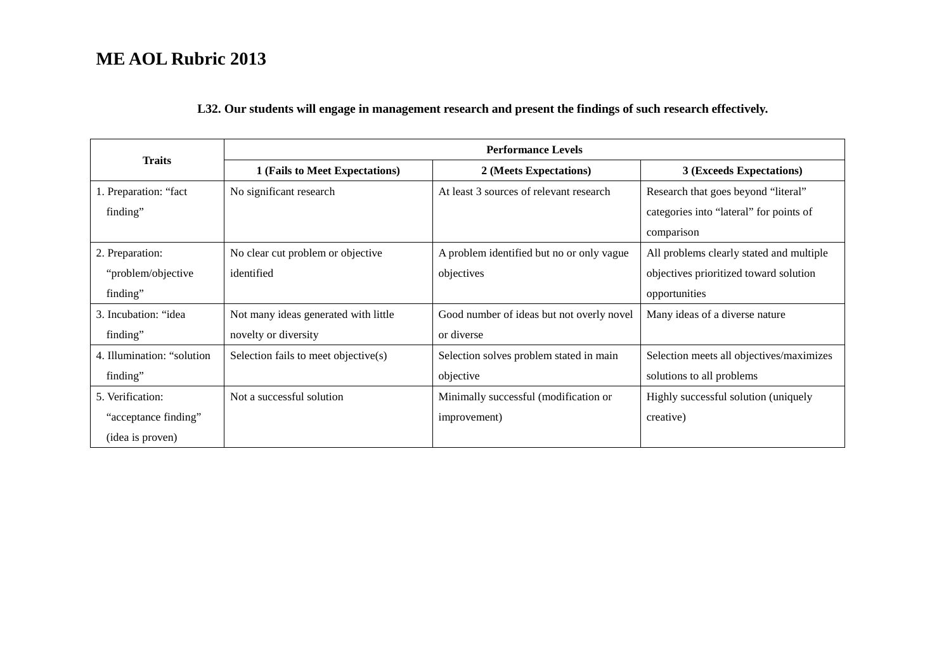#### **L32. Our students will engage in management research and present the findings of such research effectively.**

|                             |                                      | <b>Performance Levels</b>                 |                                          |  |
|-----------------------------|--------------------------------------|-------------------------------------------|------------------------------------------|--|
| <b>Traits</b>               | 1 (Fails to Meet Expectations)       | 2 (Meets Expectations)                    | 3 (Exceeds Expectations)                 |  |
| 1. Preparation: "fact       | No significant research              | At least 3 sources of relevant research   | Research that goes beyond "literal"      |  |
| finding"                    |                                      |                                           | categories into "lateral" for points of  |  |
|                             |                                      |                                           | comparison                               |  |
| 2. Preparation:             | No clear cut problem or objective    | A problem identified but no or only vague | All problems clearly stated and multiple |  |
| "problem/objective          | identified                           | objectives                                | objectives prioritized toward solution   |  |
| finding"                    |                                      |                                           | opportunities                            |  |
| 3. Incubation: "idea        | Not many ideas generated with little | Good number of ideas but not overly novel | Many ideas of a diverse nature           |  |
| finding"                    | novelty or diversity                 | or diverse                                |                                          |  |
| 4. Illumination: "solution" | Selection fails to meet objective(s) | Selection solves problem stated in main   | Selection meets all objectives/maximizes |  |
| finding"                    |                                      | objective                                 | solutions to all problems                |  |
| 5. Verification:            | Not a successful solution            | Minimally successful (modification or     | Highly successful solution (uniquely     |  |
| "acceptance finding"        |                                      | improvement)                              | creative)                                |  |
| (idea is proven)            |                                      |                                           |                                          |  |